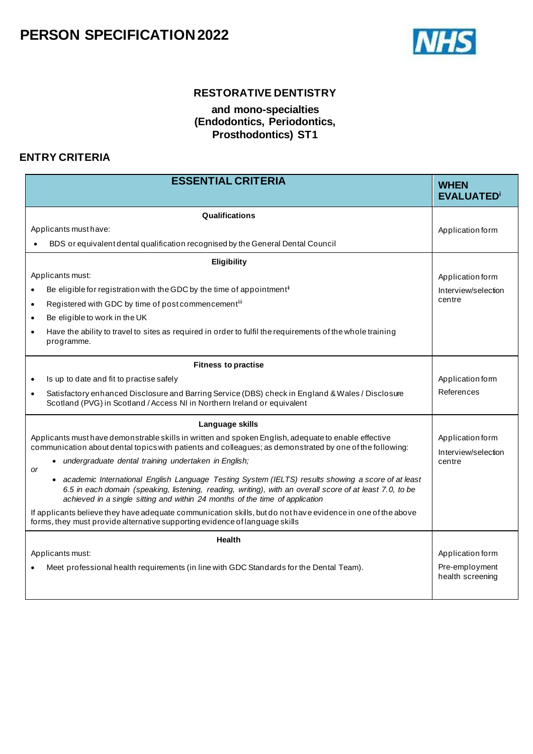

### **RESTORATIVE DENTISTRY**

#### **and mono-specialties (Endodontics, Periodontics, Prosthodontics) ST1**

### **ENTRY CRITERIA**

| <b>ESSENTIAL CRITERIA</b>                                                                                                                                                                                                                                                                                   | <b>WHEN</b><br><b>EVALUATED</b> <sup>i</sup> |
|-------------------------------------------------------------------------------------------------------------------------------------------------------------------------------------------------------------------------------------------------------------------------------------------------------------|----------------------------------------------|
| Qualifications                                                                                                                                                                                                                                                                                              |                                              |
| Applicants must have:                                                                                                                                                                                                                                                                                       | Application form                             |
| BDS or equivalent dental qualification recognised by the General Dental Council                                                                                                                                                                                                                             |                                              |
| Eligibility                                                                                                                                                                                                                                                                                                 |                                              |
| Applicants must:                                                                                                                                                                                                                                                                                            | Application form                             |
| Be eligible for registration with the GDC by the time of appointment <sup>i</sup><br>$\bullet$                                                                                                                                                                                                              | Interview/selection                          |
| Registered with GDC by time of post commencementiii<br>$\bullet$                                                                                                                                                                                                                                            | centre                                       |
| Be eligible to work in the UK<br>$\bullet$                                                                                                                                                                                                                                                                  |                                              |
| Have the ability to travel to sites as required in order to fulfil the requirements of the whole training<br>$\bullet$<br>programme.                                                                                                                                                                        |                                              |
| <b>Fitness to practise</b>                                                                                                                                                                                                                                                                                  |                                              |
| Is up to date and fit to practise safely<br>$\bullet$                                                                                                                                                                                                                                                       | Application form                             |
| Satisfactory enhanced Disclosure and Barring Service (DBS) check in England & Wales / Disclosure<br>$\bullet$<br>Scotland (PVG) in Scotland / Access NI in Northern Ireland or equivalent                                                                                                                   | References                                   |
| Language skills                                                                                                                                                                                                                                                                                             |                                              |
| Applicants must have demonstrable skills in written and spoken English, adequate to enable effective<br>communication about dental topics with patients and colleagues; as demonstrated by one of the following:                                                                                            | Application form<br>Interview/selection      |
| undergraduate dental training undertaken in English;<br>$\bullet$<br><b>or</b>                                                                                                                                                                                                                              | centre                                       |
| academic International English Language Testing System (IELTS) results showing a score of at least<br>$\bullet$<br>6.5 in each domain (speaking, listening, reading, writing), with an overall score of at least 7.0, to be<br>achieved in a single sitting and within 24 months of the time of application |                                              |
| If applicants believe they have adequate communication skills, but do not have evidence in one of the above<br>forms, they must provide alternative supporting evidence of language skills                                                                                                                  |                                              |
| <b>Health</b>                                                                                                                                                                                                                                                                                               |                                              |
| Applicants must:                                                                                                                                                                                                                                                                                            | Application form                             |
| Meet professional health requirements (in line with GDC Standards for the Dental Team).                                                                                                                                                                                                                     | Pre-employment<br>health screening           |
|                                                                                                                                                                                                                                                                                                             |                                              |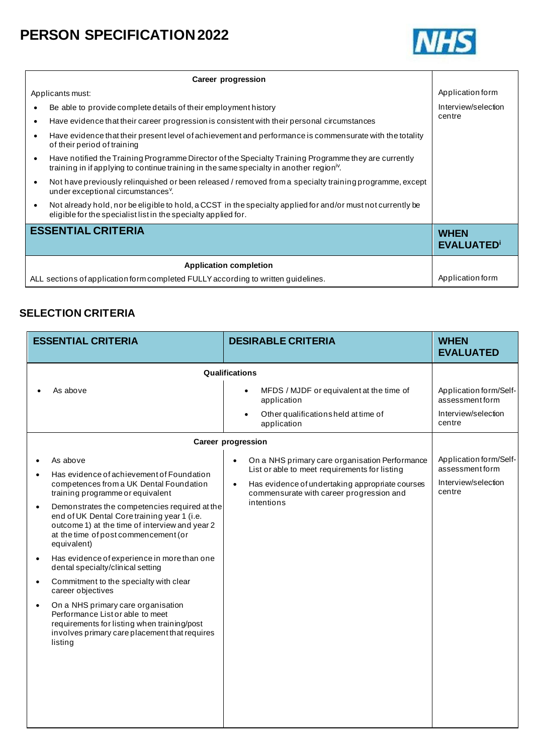

|                                                                                   | Career progression                                                                                                                                                                                           |                                  |
|-----------------------------------------------------------------------------------|--------------------------------------------------------------------------------------------------------------------------------------------------------------------------------------------------------------|----------------------------------|
|                                                                                   | Applicants must:                                                                                                                                                                                             | Application form                 |
| $\bullet$                                                                         | Be able to provide complete details of their employment history                                                                                                                                              | Interview/selection              |
| $\bullet$                                                                         | Have evidence that their career progression is consistent with their personal circumstances                                                                                                                  | centre                           |
| $\bullet$                                                                         | Have evidence that their present level of achievement and performance is commensurate with the totality<br>of their period of training                                                                       |                                  |
| $\bullet$                                                                         | Have notified the Training Programme Director of the Specialty Training Programme they are currently<br>training in if applying to continue training in the same specialty in another region <sup>iv</sup> . |                                  |
| $\bullet$                                                                         | Not have previously relinguished or been released / removed from a specialty training programme, except<br>under exceptional circumstances <sup>v</sup> .                                                    |                                  |
| $\bullet$                                                                         | Not already hold, nor be eligible to hold, a CCST in the specialty applied for and/or must not currently be<br>eligible for the specialist list in the specialty applied for.                                |                                  |
|                                                                                   | <b>ESSENTIAL CRITERIA</b>                                                                                                                                                                                    | <b>WHEN</b><br><b>EVALUATED'</b> |
|                                                                                   | <b>Application completion</b>                                                                                                                                                                                |                                  |
| ALL sections of application form completed FULLY according to written guidelines. |                                                                                                                                                                                                              | Application form                 |

### **SELECTION CRITERIA**

| <b>ESSENTIAL CRITERIA</b>                                                                                                                                                                                          | <b>DESIRABLE CRITERIA</b>                                                                                    | <b>WHEN</b><br><b>EVALUATED</b>                                  |
|--------------------------------------------------------------------------------------------------------------------------------------------------------------------------------------------------------------------|--------------------------------------------------------------------------------------------------------------|------------------------------------------------------------------|
|                                                                                                                                                                                                                    | Qualifications                                                                                               |                                                                  |
| As above                                                                                                                                                                                                           | MFDS / MJDF or equivalent at the time of<br>$\bullet$<br>application                                         | Application form/Self-<br>assessment form<br>Interview/selection |
|                                                                                                                                                                                                                    | Other qualificationsheld at time of<br>application                                                           | centre                                                           |
|                                                                                                                                                                                                                    | <b>Career progression</b>                                                                                    |                                                                  |
| As above<br>$\bullet$                                                                                                                                                                                              | On a NHS primary care organisation Performance<br>$\bullet$<br>List or able to meet requirements for listing | Application form/Self-<br>assessment form                        |
| Has evidence of achievement of Foundation<br>$\bullet$<br>competences from a UK Dental Foundation<br>training programme or equivalent                                                                              | Has evidence of undertaking appropriate courses<br>$\bullet$<br>commensurate with career progression and     | Interview/selection<br>centre                                    |
| Demonstrates the competencies required at the<br>$\bullet$<br>end of UK Dental Core training year 1 (i.e.<br>outcome 1) at the time of interview and year 2<br>at the time of post commencement (or<br>equivalent) | intentions                                                                                                   |                                                                  |
| Has evidence of experience in more than one<br>$\bullet$<br>dental specialty/clinical setting                                                                                                                      |                                                                                                              |                                                                  |
| Commitment to the specialty with clear<br>$\bullet$<br>career objectives                                                                                                                                           |                                                                                                              |                                                                  |
| On a NHS primary care organisation<br>$\bullet$<br>Performance List or able to meet<br>requirements for listing when training/post<br>involves primary care placement that requires<br>listing                     |                                                                                                              |                                                                  |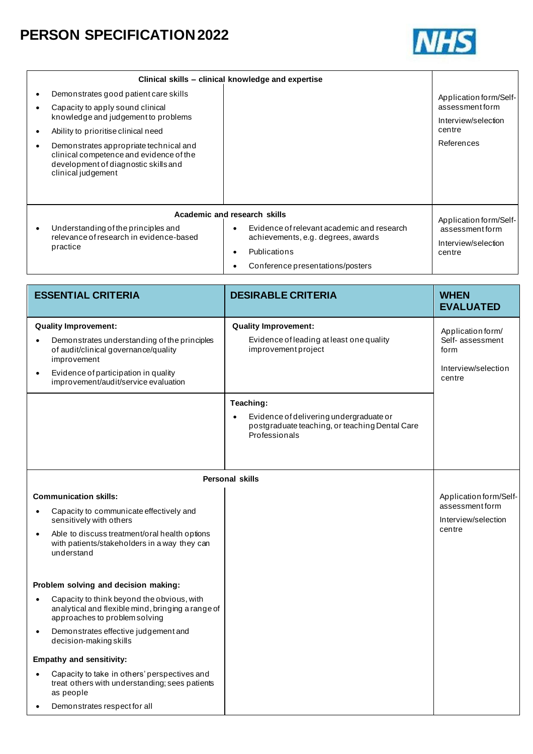

|                                                                                                                                                 | Clinical skills – clinical knowledge and expertise                                                                                                             |                                                                           |
|-------------------------------------------------------------------------------------------------------------------------------------------------|----------------------------------------------------------------------------------------------------------------------------------------------------------------|---------------------------------------------------------------------------|
| Demonstrates good patient care skills<br>Capacity to apply sound clinical<br>knowledge and judgement to problems                                |                                                                                                                                                                | Application form/Self-<br>assessment form<br>Interview/selection          |
| Ability to prioritise clinical need                                                                                                             |                                                                                                                                                                | centre                                                                    |
| Demonstrates appropriate technical and<br>clinical competence and evidence of the<br>development of diagnostic skills and<br>clinical judgement |                                                                                                                                                                | References                                                                |
| Academic and research skills                                                                                                                    |                                                                                                                                                                |                                                                           |
| Understanding of the principles and<br>relevance of research in evidence-based<br>practice                                                      | Evidence of relevant academic and research<br>$\bullet$<br>achievements, e.g. degrees, awards<br>Publications<br>$\bullet$<br>Conference presentations/posters | Application form/Self-<br>assessmentform<br>Interview/selection<br>centre |
|                                                                                                                                                 |                                                                                                                                                                |                                                                           |

| <b>ESSENTIAL CRITERIA</b>                                                                                                                                                                                                                    | <b>DESIRABLE CRITERIA</b>                                                                                                            | <b>WHEN</b><br><b>EVALUATED</b>                                                |
|----------------------------------------------------------------------------------------------------------------------------------------------------------------------------------------------------------------------------------------------|--------------------------------------------------------------------------------------------------------------------------------------|--------------------------------------------------------------------------------|
| <b>Quality Improvement:</b><br>Demonstrates understanding of the principles<br>$\bullet$<br>of audit/clinical governance/quality<br>improvement<br>Evidence of participation in quality<br>$\bullet$<br>improvement/audit/service evaluation | <b>Quality Improvement:</b><br>Evidence of leading at least one quality<br>improvement project                                       | Application form/<br>Self- assessment<br>form<br>Interview/selection<br>centre |
|                                                                                                                                                                                                                                              | Teaching:<br>Evidence of delivering undergraduate or<br>$\bullet$<br>postgraduate teaching, or teaching Dental Care<br>Professionals |                                                                                |
|                                                                                                                                                                                                                                              | <b>Personal skills</b>                                                                                                               |                                                                                |
| <b>Communication skills:</b><br>Capacity to communicate effectively and<br>٠<br>sensitively with others<br>Able to discuss treatment/oral health options<br>$\bullet$<br>with patients/stakeholders in a way they can<br>understand          |                                                                                                                                      | Application form/Self-<br>assessment form<br>Interview/selection<br>centre     |
| Problem solving and decision making:                                                                                                                                                                                                         |                                                                                                                                      |                                                                                |
| Capacity to think beyond the obvious, with<br>$\bullet$<br>analytical and flexible mind, bringing a range of<br>approaches to problem solving                                                                                                |                                                                                                                                      |                                                                                |
| Demonstrates effective judgement and<br>$\bullet$<br>decision-making skills                                                                                                                                                                  |                                                                                                                                      |                                                                                |
| <b>Empathy and sensitivity:</b>                                                                                                                                                                                                              |                                                                                                                                      |                                                                                |
| Capacity to take in others' perspectives and<br>$\bullet$<br>treat others with understanding; sees patients<br>as people                                                                                                                     |                                                                                                                                      |                                                                                |
| Demonstrates respect for all<br>$\bullet$                                                                                                                                                                                                    |                                                                                                                                      |                                                                                |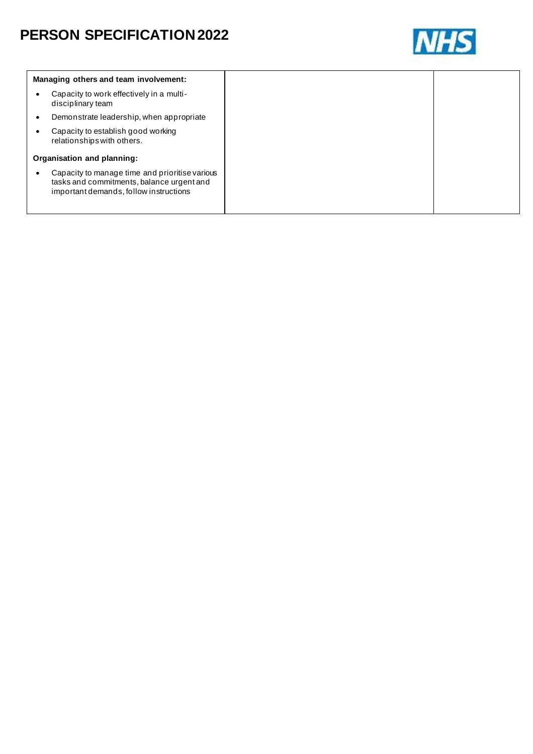

| Managing others and team involvement:                                                                                                 |
|---------------------------------------------------------------------------------------------------------------------------------------|
| Capacity to work effectively in a multi-<br>disciplinary team                                                                         |
| Demonstrate leadership, when appropriate                                                                                              |
| Capacity to establish good working<br>relationships with others.                                                                      |
| Organisation and planning:                                                                                                            |
| Capacity to manage time and prioritise various<br>tasks and commitments, balance urgent and<br>important demands, follow instructions |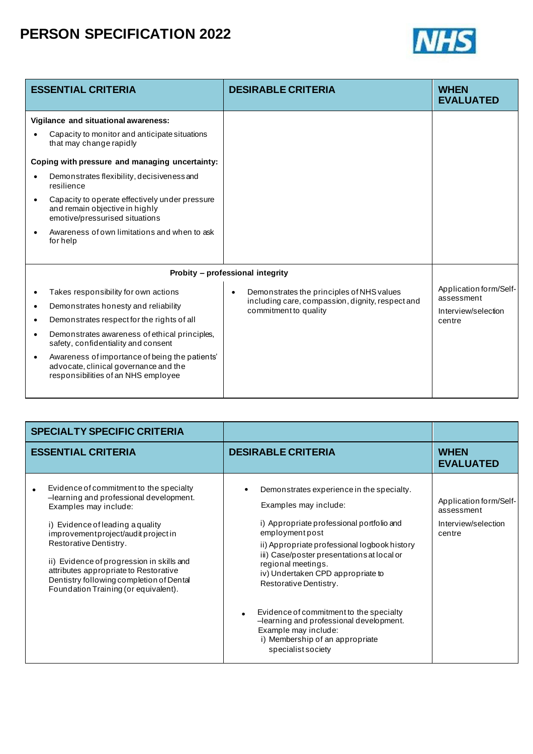

|           | <b>ESSENTIAL CRITERIA</b>                                                                                                      | <b>DESIRABLE CRITERIA</b>                                                 | <b>WHEN</b><br><b>EVALUATED</b>   |
|-----------|--------------------------------------------------------------------------------------------------------------------------------|---------------------------------------------------------------------------|-----------------------------------|
|           | Vigilance and situational awareness:                                                                                           |                                                                           |                                   |
|           | Capacity to monitor and anticipate situations<br>that may change rapidly                                                       |                                                                           |                                   |
|           | Coping with pressure and managing uncertainty:                                                                                 |                                                                           |                                   |
|           | Demonstrates flexibility, decisiveness and<br>resilience                                                                       |                                                                           |                                   |
|           | Capacity to operate effectively under pressure<br>and remain objective in highly<br>emotive/pressurised situations             |                                                                           |                                   |
|           | Awareness of own limitations and when to ask<br>forhelp                                                                        |                                                                           |                                   |
|           |                                                                                                                                | Probity - professional integrity                                          |                                   |
|           | Takes responsibility for own actions                                                                                           | Demonstrates the principles of NHS values<br>$\bullet$                    | Application form/Self-            |
| ٠         | Demonstrates honesty and reliability                                                                                           | including care, compassion, dignity, respect and<br>commitment to quality | assessment<br>Interview/selection |
| $\bullet$ | Demonstrates respect for the rights of all                                                                                     |                                                                           | centre                            |
| ٠         | Demonstrates awareness of ethical principles,<br>safety, confidentiality and consent                                           |                                                                           |                                   |
|           | Awareness of importance of being the patients'<br>advocate, clinical governance and the<br>responsibilities of an NHS employee |                                                                           |                                   |

| <b>SPECIALTY SPECIFIC CRITERIA</b>                                                                                                                                                                                                                                                                                                                                                        |                                                                                                                                                                                                                                                                                                                                                                                                                                                                       |                                                                       |
|-------------------------------------------------------------------------------------------------------------------------------------------------------------------------------------------------------------------------------------------------------------------------------------------------------------------------------------------------------------------------------------------|-----------------------------------------------------------------------------------------------------------------------------------------------------------------------------------------------------------------------------------------------------------------------------------------------------------------------------------------------------------------------------------------------------------------------------------------------------------------------|-----------------------------------------------------------------------|
| <b>ESSENTIAL CRITERIA</b>                                                                                                                                                                                                                                                                                                                                                                 | <b>DESIRABLE CRITERIA</b>                                                                                                                                                                                                                                                                                                                                                                                                                                             | <b>WHEN</b><br><b>EVALUATED</b>                                       |
| Evidence of commitment to the specialty<br>-learning and professional development.<br>Examples may include:<br>i) Evidence of leading a quality<br>improvementproject/auditproject in<br>Restorative Dentistry.<br>ii) Evidence of progression in skills and<br>attributes appropriate to Restorative<br>Dentistry following completion of Dental<br>Foundation Training (or equivalent). | Demonstrates experience in the specialty.<br>Examples may include:<br>i) Appropriate professional portfolio and<br>employmentpost<br>ii) Appropriate professional logbook history<br>iii) Case/poster presentations at local or<br>regional meetings.<br>iv) Undertaken CPD appropriate to<br>Restorative Dentistry.<br>Evidence of commitment to the specialty<br>-learning and professional development.<br>Example may include:<br>i) Membership of an appropriate | Application form/Self-<br>assessment<br>Interview/selection<br>centre |